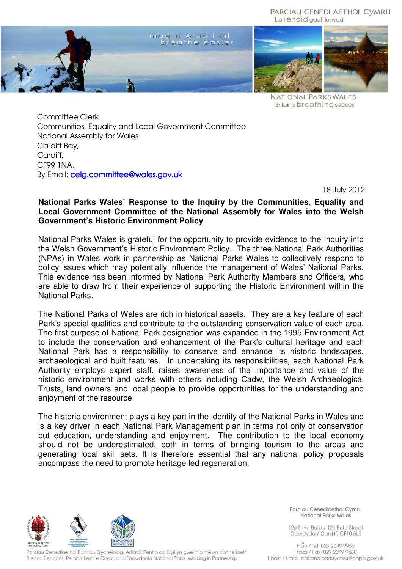

**NATIONAL PARKS WALES Britain's breathing spaces** 

Committee Clerk Communities, Equality and Local Government Committee National Assembly for Wales Cardiff Bay, Cardiff, CF99 1NA. By Email: cela.committee@wales.gov.uk

18 July 2012

# **National Parks Wales' Response to the Inquiry by the Communities, Equality and Local Government Committee of the National Assembly for Wales into the Welsh Government's Historic Environment Policy**

National Parks Wales is grateful for the opportunity to provide evidence to the Inquiry into the Welsh Government's Historic Environment Policy. The three National Park Authorities (NPAs) in Wales work in partnership as National Parks Wales to collectively respond to policy issues which may potentially influence the management of Wales' National Parks. This evidence has been informed by National Park Authority Members and Officers, who are able to draw from their experience of supporting the Historic Environment within the National Parks.

The National Parks of Wales are rich in historical assets. They are a key feature of each Park's special qualities and contribute to the outstanding conservation value of each area. The first purpose of National Park designation was expanded in the 1995 Environment Act to include the conservation and enhancement of the Park's cultural heritage and each National Park has a responsibility to conserve and enhance its historic landscapes, archaeological and built features. In undertaking its responsibilities, each National Park Authority employs expert staff, raises awareness of the importance and value of the historic environment and works with others including Cadw, the Welsh Archaeological Trusts, land owners and local people to provide opportunities for the understanding and enjoyment of the resource.

The historic environment plays a key part in the identity of the National Parks in Wales and is a key driver in each National Park Management plan in terms not only of conservation but education, understanding and enjoyment. The contribution to the local economy should not be underestimated, both in terms of bringing tourism to the areas and generating local skill sets. It is therefore essential that any national policy proposals encompass the need to promote heritage led regeneration.



Parciau Cenedlaethol Bannau Brycheiniog, Arfordir Penfro ac Eryri yn gweithio mewn partneriaeth Brecon Beacons, Pembrokeshire Coast, and Snowdonia National Parks. Working in Partnership.

Parciau Cenedlaethol Cymru National Parks Wales

126 Stryd Bute / 126 Bute Street Caerdydd / Cardiff, CF10 5LE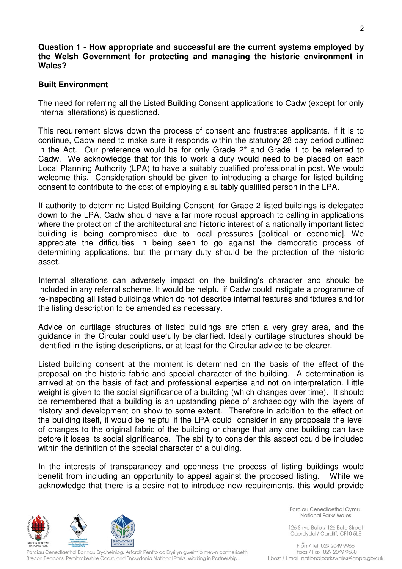#### **Question 1 - How appropriate and successful are the current systems employed by the Welsh Government for protecting and managing the historic environment in Wales?**

# **Built Environment**

The need for referring all the Listed Building Consent applications to Cadw (except for only internal alterations) is questioned.

This requirement slows down the process of consent and frustrates applicants. If it is to continue, Cadw need to make sure it responds within the statutory 28 day period outlined in the Act. Our preference would be for only Grade 2\* and Grade 1 to be referred to Cadw. We acknowledge that for this to work a duty would need to be placed on each Local Planning Authority (LPA) to have a suitably qualified professional in post. We would welcome this. Consideration should be given to introducing a charge for listed building consent to contribute to the cost of employing a suitably qualified person in the LPA.

If authority to determine Listed Building Consent for Grade 2 listed buildings is delegated down to the LPA, Cadw should have a far more robust approach to calling in applications where the protection of the architectural and historic interest of a nationally important listed building is being compromised due to local pressures [political or economic]. We appreciate the difficulties in being seen to go against the democratic process of determining applications, but the primary duty should be the protection of the historic asset.

Internal alterations can adversely impact on the building's character and should be included in any referral scheme. It would be helpful if Cadw could instigate a programme of re-inspecting all listed buildings which do not describe internal features and fixtures and for the listing description to be amended as necessary.

Advice on curtilage structures of listed buildings are often a very grey area, and the guidance in the Circular could usefully be clarified. Ideally curtilage structures should be identified in the listing descriptions, or at least for the Circular advice to be clearer.

Listed building consent at the moment is determined on the basis of the effect of the proposal on the historic fabric and special character of the building. A determination is arrived at on the basis of fact and professional expertise and not on interpretation. Little weight is given to the social significance of a building (which changes over time). It should be remembered that a building is an upstanding piece of archaeology with the layers of history and development on show to some extent. Therefore in addition to the effect on the building itself, it would be helpful if the LPA could consider in any proposals the level of changes to the original fabric of the building or change that any one building can take before it loses its social significance. The ability to consider this aspect could be included within the definition of the special character of a building.

In the interests of transparancey and openness the process of listing buildings would benefit from including an opportunity to appeal against the proposed listing. While we acknowledge that there is a desire not to introduce new requirements, this would provide



Parciau Cenedlaethol Bannau Brycheiniog, Arfordir Penfro ac Eryri yn gweithio mewn partneriaeth Brecon Beacons, Pembrokeshire Coast, and Snowdonia National Parks. Working in Partnership.

Parciau Cenedlaethol Cymru National Parks Wales

126 Stryd Bute / 126 Bute Street Caerdydd / Cardiff, CF10 5LE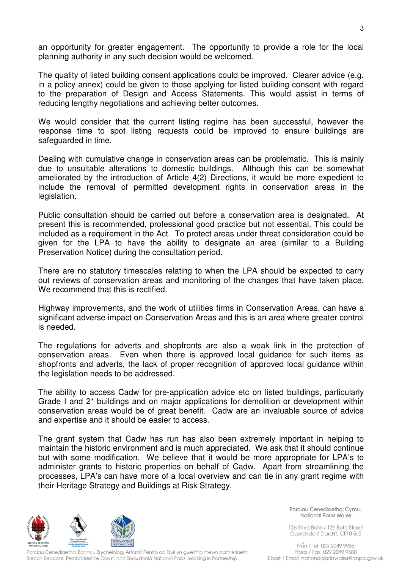an opportunity for greater engagement. The opportunity to provide a role for the local planning authority in any such decision would be welcomed.

The quality of listed building consent applications could be improved. Clearer advice (e.g. in a policy annex) could be given to those applying for listed building consent with regard to the preparation of Design and Access Statements. This would assist in terms of reducing lengthy negotiations and achieving better outcomes.

We would consider that the current listing regime has been successful, however the response time to spot listing requests could be improved to ensure buildings are safeguarded in time.

Dealing with cumulative change in conservation areas can be problematic. This is mainly due to unsuitable alterations to domestic buildings. Although this can be somewhat ameliorated by the introduction of Article 4(2) Directions, it would be more expedient to include the removal of permitted development rights in conservation areas in the legislation.

Public consultation should be carried out before a conservation area is designated. At present this is recommended, professional good practice but not essential. This could be included as a requirement in the Act. To protect areas under threat consideration could be given for the LPA to have the ability to designate an area (similar to a Building Preservation Notice) during the consultation period.

There are no statutory timescales relating to when the LPA should be expected to carry out reviews of conservation areas and monitoring of the changes that have taken place. We recommend that this is rectified.

Highway improvements, and the work of utilities firms in Conservation Areas, can have a significant adverse impact on Conservation Areas and this is an area where greater control is needed.

The regulations for adverts and shopfronts are also a weak link in the protection of conservation areas. Even when there is approved local guidance for such items as shopfronts and adverts, the lack of proper recognition of approved local guidance within the legislation needs to be addressed.

The ability to access Cadw for pre-application advice etc on listed buildings, particularly Grade I and 2\* buildings and on major applications for demolition or development within conservation areas would be of great benefit. Cadw are an invaluable source of advice and expertise and it should be easier to access.

The grant system that Cadw has run has also been extremely important in helping to maintain the historic environment and is much appreciated. We ask that it should continue but with some modification. We believe that it would be more appropriate for LPA's to administer grants to historic properties on behalf of Cadw. Apart from streamlining the processes, LPA's can have more of a local overview and can tie in any grant regime with their Heritage Strategy and Buildings at Risk Strategy.



Parciau Cenedlaethol Bannau Brycheiniog, Arfordir Penfro ac Eryri yn gweithio mewn partneriaeth Brecon Beacons, Pembrokeshire Coast, and Snowdonia National Parks. Working in Partnership.

Parciau Cenedlaethol Cymru National Parks Wales

126 Stryd Bute / 126 Bute Street Caerdydd / Cardiff, CF10 5LE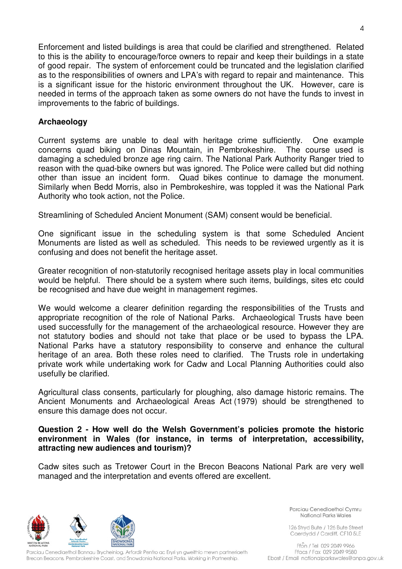Enforcement and listed buildings is area that could be clarified and strengthened. Related to this is the ability to encourage/force owners to repair and keep their buildings in a state of good repair. The system of enforcement could be truncated and the legislation clarified as to the responsibilities of owners and LPA's with regard to repair and maintenance. This is a significant issue for the historic environment throughout the UK. However, care is needed in terms of the approach taken as some owners do not have the funds to invest in improvements to the fabric of buildings.

# **Archaeology**

Current systems are unable to deal with heritage crime sufficiently. One example concerns quad biking on Dinas Mountain, in Pembrokeshire. The course used is damaging a scheduled bronze age ring cairn. The National Park Authority Ranger tried to reason with the quad-bike owners but was ignored. The Police were called but did nothing other than issue an incident form. Quad bikes continue to damage the monument. Similarly when Bedd Morris, also in Pembrokeshire, was toppled it was the National Park Authority who took action, not the Police.

Streamlining of Scheduled Ancient Monument (SAM) consent would be beneficial.

One significant issue in the scheduling system is that some Scheduled Ancient Monuments are listed as well as scheduled. This needs to be reviewed urgently as it is confusing and does not benefit the heritage asset.

Greater recognition of non-statutorily recognised heritage assets play in local communities would be helpful. There should be a system where such items, buildings, sites etc could be recognised and have due weight in management regimes.

We would welcome a clearer definition regarding the responsibilities of the Trusts and appropriate recognition of the role of National Parks. Archaeological Trusts have been used successfully for the management of the archaeological resource. However they are not statutory bodies and should not take that place or be used to bypass the LPA. National Parks have a statutory responsibility to conserve and enhance the cultural heritage of an area. Both these roles need to clarified. The Trusts role in undertaking private work while undertaking work for Cadw and Local Planning Authorities could also usefully be clarified.

Agricultural class consents, particularly for ploughing, also damage historic remains. The Ancient Monuments and Archaeological Areas Act (1979) should be strengthened to ensure this damage does not occur.

# **Question 2 - How well do the Welsh Government's policies promote the historic environment in Wales (for instance, in terms of interpretation, accessibility, attracting new audiences and tourism)?**

Cadw sites such as Tretower Court in the Brecon Beacons National Park are very well managed and the interpretation and events offered are excellent.



Parciau Cenedlaethol Bannau Brycheiniog, Arfordir Penfro ac Eryri yn gweithio mewn partneriaeth Brecon Beacons, Pembrokeshire Coast, and Snowdonia National Parks. Working in Partnership.

Parciau Cenedlaethol Cymru National Parks Wales

126 Stryd Bute / 126 Bute Street Caerdydd / Cardiff, CF10 5LE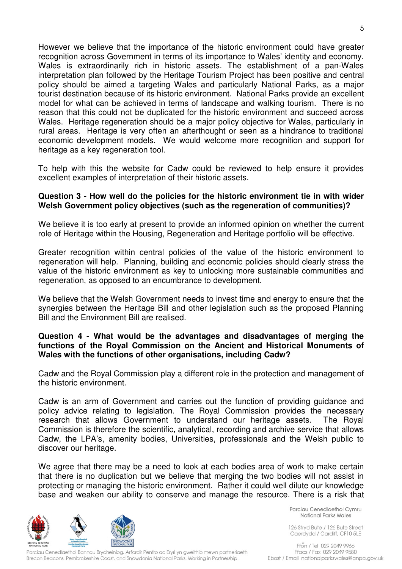However we believe that the importance of the historic environment could have greater recognition across Government in terms of its importance to Wales' identity and economy. Wales is extraordinarily rich in historic assets. The establishment of a pan-Wales interpretation plan followed by the Heritage Tourism Project has been positive and central policy should be aimed a targeting Wales and particularly National Parks, as a major tourist destination because of its historic environment. National Parks provide an excellent model for what can be achieved in terms of landscape and walking tourism. There is no reason that this could not be duplicated for the historic environment and succeed across Wales. Heritage regeneration should be a major policy objective for Wales, particularly in rural areas. Heritage is very often an afterthought or seen as a hindrance to traditional economic development models. We would welcome more recognition and support for heritage as a key regeneration tool.

To help with this the website for Cadw could be reviewed to help ensure it provides excellent examples of interpretation of their historic assets.

#### **Question 3 - How well do the policies for the historic environment tie in with wider Welsh Government policy objectives (such as the regeneration of communities)?**

We believe it is too early at present to provide an informed opinion on whether the current role of Heritage within the Housing, Regeneration and Heritage portfolio will be effective.

Greater recognition within central policies of the value of the historic environment to regeneration will help. Planning, building and economic policies should clearly stress the value of the historic environment as key to unlocking more sustainable communities and regeneration, as opposed to an encumbrance to development.

We believe that the Welsh Government needs to invest time and energy to ensure that the synergies between the Heritage Bill and other legislation such as the proposed Planning Bill and the Environment Bill are realised.

# **Question 4 - What would be the advantages and disadvantages of merging the functions of the Royal Commission on the Ancient and Historical Monuments of Wales with the functions of other organisations, including Cadw?**

Cadw and the Royal Commission play a different role in the protection and management of the historic environment.

Cadw is an arm of Government and carries out the function of providing guidance and policy advice relating to legislation. The Royal Commission provides the necessary research that allows Government to understand our heritage assets. The Royal Commission is therefore the scientific, analytical, recording and archive service that allows Cadw, the LPA's, amenity bodies, Universities, professionals and the Welsh public to discover our heritage.

We agree that there may be a need to look at each bodies area of work to make certain that there is no duplication but we believe that merging the two bodies will not assist in protecting or managing the historic environment. Rather it could well dilute our knowledge base and weaken our ability to conserve and manage the resource. There is a risk that



Parciau Cenedlaethol Bannau Brycheiniog, Arfordir Penfro ac Eryri yn gweithio mewn partneriaeth Brecon Beacons, Pembrokeshire Coast, and Snowdonia National Parks. Working in Partnership.

Parciau Cenedlaethol Cymru National Parks Wales

126 Stryd Bute / 126 Bute Street Caerdydd / Cardiff, CF10 5LE